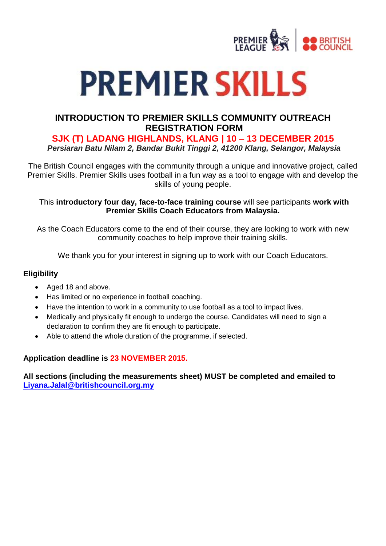

# **PREMIER SKILLS**

### **INTRODUCTION TO PREMIER SKILLS COMMUNITY OUTREACH REGISTRATION FORM**

**SJK (T) LADANG HIGHLANDS, KLANG | 10 – 13 DECEMBER 2015**

*Persiaran Batu Nilam 2, Bandar Bukit Tinggi 2, 41200 Klang, Selangor, Malaysia*

The British Council engages with the community through a unique and innovative project, called Premier Skills. Premier Skills uses football in a fun way as a tool to engage with and develop the skills of young people.

#### This **introductory four day, face-to-face training course** will see participants **work with Premier Skills Coach Educators from Malaysia.**

As the Coach Educators come to the end of their course, they are looking to work with new community coaches to help improve their training skills.

We thank you for your interest in signing up to work with our Coach Educators.

#### **Eligibility**

- Aged 18 and above.
- Has limited or no experience in football coaching.
- Have the intention to work in a community to use football as a tool to impact lives.
- Medically and physically fit enough to undergo the course. Candidates will need to sign a declaration to confirm they are fit enough to participate.
- Able to attend the whole duration of the programme, if selected.

#### **Application deadline is 23 NOVEMBER 2015.**

#### **All sections (including the measurements sheet) MUST be completed and emailed to [Liyana.Jalal@britishcouncil.org.my](mailto:Liyana.Jalal@britishcouncil.org.my)**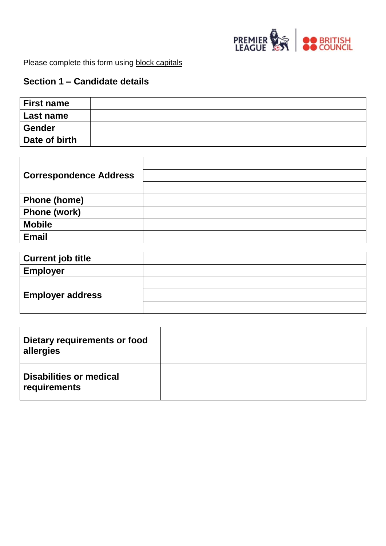

Please complete this form using block capitals

# **Section 1 – Candidate details**

| <b>First name</b> |  |
|-------------------|--|
| Last name         |  |
| Gender            |  |
| Date of birth     |  |

| <b>Correspondence Address</b> |  |
|-------------------------------|--|
|                               |  |
| <b>Phone (home)</b>           |  |
| <b>Phone (work)</b>           |  |
| <b>Mobile</b>                 |  |
| <b>Email</b>                  |  |

| <b>Current job title</b> |  |
|--------------------------|--|
| <b>Employer</b>          |  |
|                          |  |
| <b>Employer address</b>  |  |
|                          |  |

| Dietary requirements or food<br>allergies      |  |
|------------------------------------------------|--|
| <b>Disabilities or medical</b><br>requirements |  |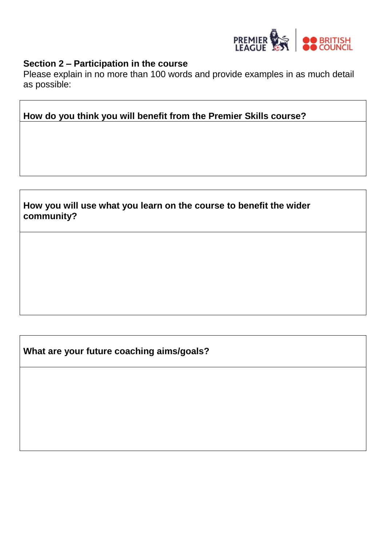

# **Section 2 – Participation in the course**

Please explain in no more than 100 words and provide examples in as much detail as possible:

**How do you think you will benefit from the Premier Skills course?**

**How you will use what you learn on the course to benefit the wider community?**

**What are your future coaching aims/goals?**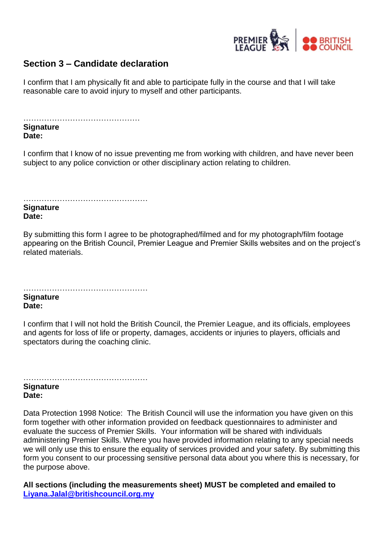

## **Section 3 – Candidate declaration**

I confirm that I am physically fit and able to participate fully in the course and that I will take reasonable care to avoid injury to myself and other participants.

……………………………………… **Signature Date:** 

I confirm that I know of no issue preventing me from working with children, and have never been subject to any police conviction or other disciplinary action relating to children.

…………………………………………

**Signature Date:** 

By submitting this form I agree to be photographed/filmed and for my photograph/film footage appearing on the British Council, Premier League and Premier Skills websites and on the project's related materials.

………………………………………… **Signature Date:**

I confirm that I will not hold the British Council, the Premier League, and its officials, employees and agents for loss of life or property, damages, accidents or injuries to players, officials and spectators during the coaching clinic.

………………………………………… **Signature Date:** 

Data Protection 1998 Notice: The British Council will use the information you have given on this form together with other information provided on feedback questionnaires to administer and evaluate the success of Premier Skills. Your information will be shared with individuals administering Premier Skills. Where you have provided information relating to any special needs we will only use this to ensure the equality of services provided and your safety. By submitting this form you consent to our processing sensitive personal data about you where this is necessary, for the purpose above.

**All sections (including the measurements sheet) MUST be completed and emailed to [Liyana.Jalal@britishcouncil.org.my](mailto:Liyana.Jalal@britishcouncil.org.my)**